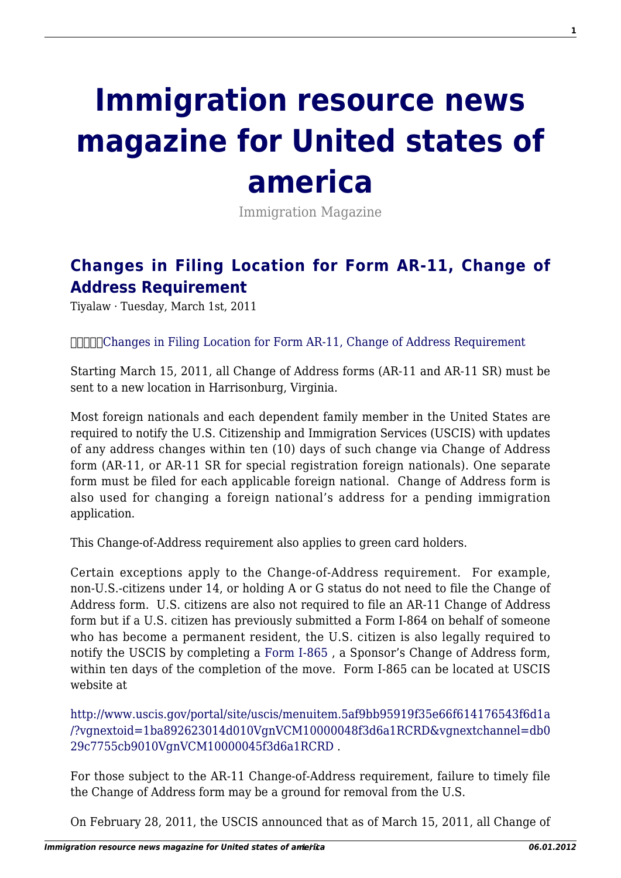## **[Immigration resource news](http://immigrationresource.net/) [magazine for United states of](http://immigrationresource.net/) [america](http://immigrationresource.net/)**

Immigration Magazine

## **[Changes in Filing Location for Form AR-11, Change of](http://immigrationresource.net/changes-in-filing-location-for-form-ar-11-change-of-address-requirement/) [Address Requirement](http://immigrationresource.net/changes-in-filing-location-for-form-ar-11-change-of-address-requirement/)**

Tiyalaw · Tuesday, March 1st, 2011

[Changes in Filing Location for Form AR-11, Change of Address Requirement](http://immigrationresource.net/changes-in-filing-location-for-form-ar-11-change-of-address-requirement/)

Starting March 15, 2011, all Change of Address forms (AR-11 and AR-11 SR) must be sent to a new location in Harrisonburg, Virginia.

Most foreign nationals and each dependent family member in the United States are required to notify the U.S. Citizenship and Immigration Services (USCIS) with updates of any address changes within ten (10) days of such change via Change of Address form (AR-11, or AR-11 SR for special registration foreign nationals). One separate form must be filed for each applicable foreign national. Change of Address form is also used for changing a foreign national's address for a pending immigration application.

This Change-of-Address requirement also applies to green card holders.

Certain exceptions apply to the Change-of-Address requirement. For example, non-U.S.-citizens under 14, or holding A or G status do not need to file the Change of Address form. U.S. citizens are also not required to file an AR-11 Change of Address form but if a U.S. citizen has previously submitted a Form I-864 on behalf of someone who has become a permanent resident, the U.S. citizen is also legally required to notify the USCIS by completing a [Form I-865](http://www.uscis.gov/portal/site/uscis/menuitem.5af9bb95919f35e66f614176543f6d1a/?vgnextoid=1ba892623014d010VgnVCM10000048f3d6a1RCRD&vgnextchannel=db029c7755cb9010VgnVCM10000045f3d6a1RCRD) , a Sponsor's Change of Address form, within ten days of the completion of the move. Form I-865 can be located at USCIS website at

[http://www.uscis.gov/portal/site/uscis/menuitem.5af9bb95919f35e66f614176543f6d1a](http://www.uscis.gov/portal/site/uscis/menuitem.5af9bb95919f35e66f614176543f6d1a/?vgnextoid=1ba892623014d010VgnVCM10000048f3d6a1RCRD&vgnextchannel=db029c7755cb9010VgnVCM10000045f3d6a1RCRD) [/?vgnextoid=1ba892623014d010VgnVCM10000048f3d6a1RCRD&vgnextchannel=db0](http://www.uscis.gov/portal/site/uscis/menuitem.5af9bb95919f35e66f614176543f6d1a/?vgnextoid=1ba892623014d010VgnVCM10000048f3d6a1RCRD&vgnextchannel=db029c7755cb9010VgnVCM10000045f3d6a1RCRD) [29c7755cb9010VgnVCM10000045f3d6a1RCRD](http://www.uscis.gov/portal/site/uscis/menuitem.5af9bb95919f35e66f614176543f6d1a/?vgnextoid=1ba892623014d010VgnVCM10000048f3d6a1RCRD&vgnextchannel=db029c7755cb9010VgnVCM10000045f3d6a1RCRD) .

For those subject to the AR-11 Change-of-Address requirement, failure to timely file the Change of Address form may be a ground for removal from the U.S.

On February 28, 2011, the USCIS announced that as of March 15, 2011, all Change of